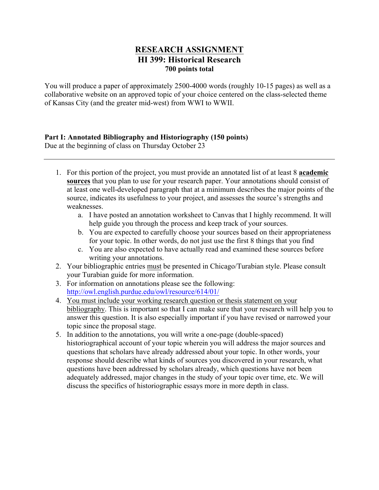# **RESEARCH ASSIGNMENT HI 399: Historical Research 700 points total**

You will produce a paper of approximately 2500-4000 words (roughly 10-15 pages) as well as a collaborative website on an approved topic of your choice centered on the class-selected theme of Kansas City (and the greater mid-west) from WWI to WWII.

# **Part I: Annotated Bibliography and Historiography (150 points)**

Due at the beginning of class on Thursday October 23

- 1. For this portion of the project, you must provide an annotated list of at least 8 **academic sources** that you plan to use for your research paper. Your annotations should consist of at least one well-developed paragraph that at a minimum describes the major points of the source, indicates its usefulness to your project, and assesses the source's strengths and weaknesses.
	- a. I have posted an annotation worksheet to Canvas that I highly recommend. It will help guide you through the process and keep track of your sources.
	- b. You are expected to carefully choose your sources based on their appropriateness for your topic. In other words, do not just use the first 8 things that you find
	- c. You are also expected to have actually read and examined these sources before writing your annotations.
- 2. Your bibliographic entries must be presented in Chicago/Turabian style. Please consult your Turabian guide for more information.
- 3. For information on annotations please see the following: http://owl.english.purdue.edu/owl/resource/614/01/
- 4. You must include your working research question or thesis statement on your bibliography. This is important so that I can make sure that your research will help you to answer this question. It is also especially important if you have revised or narrowed your topic since the proposal stage.
- 5. In addition to the annotations, you will write a one-page (double-spaced) historiographical account of your topic wherein you will address the major sources and questions that scholars have already addressed about your topic. In other words, your response should describe what kinds of sources you discovered in your research, what questions have been addressed by scholars already, which questions have not been adequately addressed, major changes in the study of your topic over time, etc. We will discuss the specifics of historiographic essays more in more depth in class.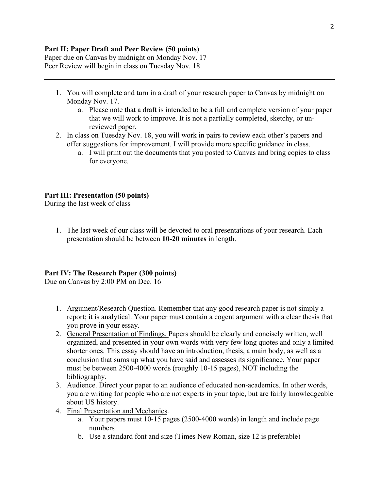# **Part II: Paper Draft and Peer Review (50 points)**

Paper due on Canvas by midnight on Monday Nov. 17 Peer Review will begin in class on Tuesday Nov. 18

- 1. You will complete and turn in a draft of your research paper to Canvas by midnight on Monday Nov. 17.
	- a. Please note that a draft is intended to be a full and complete version of your paper that we will work to improve. It is not a partially completed, sketchy, or unreviewed paper.
- 2. In class on Tuesday Nov. 18, you will work in pairs to review each other's papers and offer suggestions for improvement. I will provide more specific guidance in class.
	- a. I will print out the documents that you posted to Canvas and bring copies to class for everyone.

#### **Part III: Presentation (50 points)**

During the last week of class

1. The last week of our class will be devoted to oral presentations of your research. Each presentation should be between **10-20 minutes** in length.

# **Part IV: The Research Paper (300 points)**

Due on Canvas by 2:00 PM on Dec. 16

- 1. Argument/Research Question. Remember that any good research paper is not simply a report; it is analytical. Your paper must contain a cogent argument with a clear thesis that you prove in your essay.
- 2. General Presentation of Findings. Papers should be clearly and concisely written, well organized, and presented in your own words with very few long quotes and only a limited shorter ones. This essay should have an introduction, thesis, a main body, as well as a conclusion that sums up what you have said and assesses its significance. Your paper must be between 2500-4000 words (roughly 10-15 pages), NOT including the bibliography.
- 3. Audience. Direct your paper to an audience of educated non-academics. In other words, you are writing for people who are not experts in your topic, but are fairly knowledgeable about US history.
- 4. Final Presentation and Mechanics.
	- a. Your papers must 10-15 pages (2500-4000 words) in length and include page numbers
	- b. Use a standard font and size (Times New Roman, size 12 is preferable)